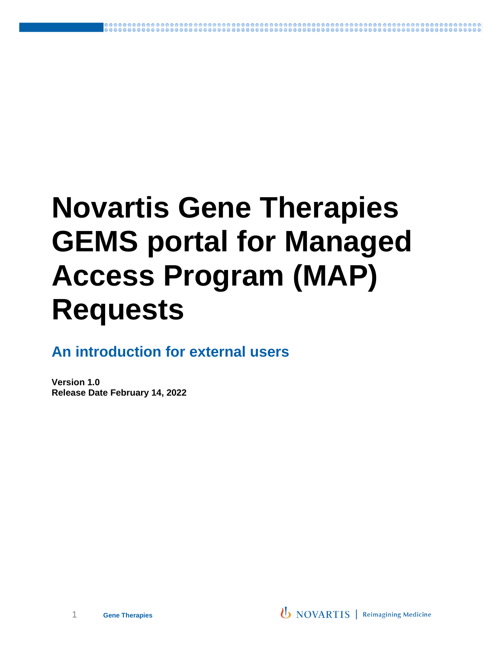# **Novartis Gene Therapies GEMS portal for Managed Access Program (MAP) Requests**

**An introduction for external users**

**Version 1.0 Release Date February 14, 2022**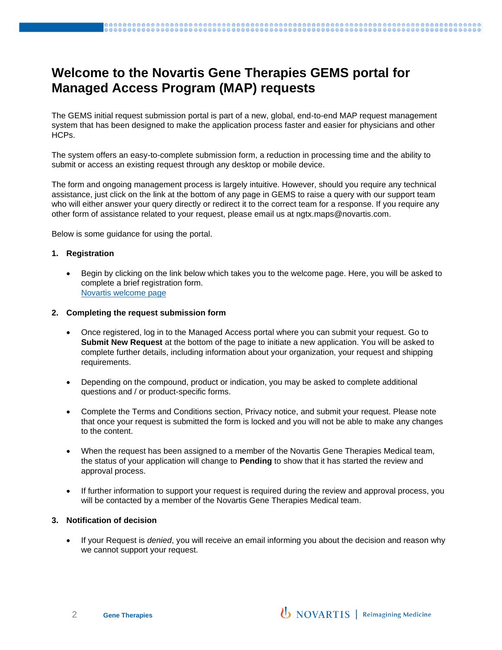## **Welcome to the Novartis Gene Therapies GEMS portal for Managed Access Program (MAP) requests**

The GEMS initial request submission portal is part of a new, global, end-to-end MAP request management system that has been designed to make the application process faster and easier for physicians and other HCPs.

The system offers an easy-to-complete submission form, a reduction in processing time and the ability to submit or access an existing request through any desktop or mobile device.

The form and ongoing management process is largely intuitive. However, should you require any technical assistance, just click on the link at the bottom of any page in GEMS to raise a query with our support team who will either answer your query directly or redirect it to the correct team for a response. If you require any other form of assistance related to your request, please email us at ngtx.maps@novartis.com.

Below is some guidance for using the portal.

#### **1. Registration**

Begin by clicking on the link below which takes you to the welcome page. Here, you will be asked to complete a brief registration form. [Novartis welcome page](https://www.cybergrants.com/novartis/maps)

#### **2. Completing the request submission form**

- Once registered, log in to the Managed Access portal where you can submit your request. Go to **Submit New Request** at the bottom of the page to initiate a new application. You will be asked to complete further details, including information about your organization, your request and shipping requirements.
- Depending on the compound, product or indication, you may be asked to complete additional questions and / or product-specific forms.
- Complete the Terms and Conditions section, Privacy notice, and submit your request. Please note that once your request is submitted the form is locked and you will not be able to make any changes to the content.
- When the request has been assigned to a member of the Novartis Gene Therapies Medical team, the status of your application will change to **Pending** to show that it has started the review and approval process.
- If further information to support your request is required during the review and approval process, you will be contacted by a member of the Novartis Gene Therapies Medical team.

#### **3. Notification of decision**

• If your Request is *denied*, you will receive an email informing you about the decision and reason why we cannot support your request.